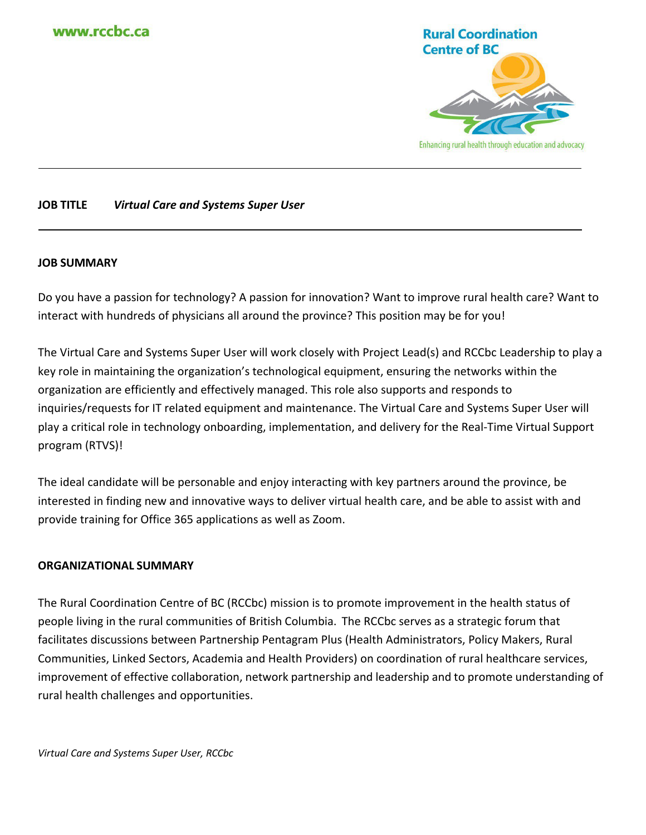

# **JOB TITLE** *Virtual Care and Systems Super User*

#### **JOB SUMMARY**

Do you have a passion for technology? A passion for innovation? Want to improve rural health care? Want to interact with hundreds of physicians all around the province? This position may be for you!

The Virtual Care and Systems Super User will work closely with Project Lead(s) and RCCbc Leadership to play a key role in maintaining the organization's technological equipment, ensuring the networks within the organization are efficiently and effectively managed. This role also supports and responds to inquiries/requests for IT related equipment and maintenance. The Virtual Care and Systems Super User will play a critical role in technology onboarding, implementation, and delivery for the Real-Time Virtual Support program (RTVS)!

The ideal candidate will be personable and enjoy interacting with key partners around the province, be interested in finding new and innovative ways to deliver virtual health care, and be able to assist with and provide training for Office 365 applications as well as Zoom.

#### **ORGANIZATIONAL SUMMARY**

The Rural Coordination Centre of BC (RCCbc) mission is to promote improvement in the health status of people living in the rural communities of British Columbia. The RCCbc serves as a strategic forum that facilitates discussions between Partnership Pentagram Plus (Health Administrators, Policy Makers, Rural Communities, Linked Sectors, Academia and Health Providers) on coordination of rural healthcare services, improvement of effective collaboration, network partnership and leadership and to promote understanding of rural health challenges and opportunities.

*Virtual Care and Systems Super User, RCCbc*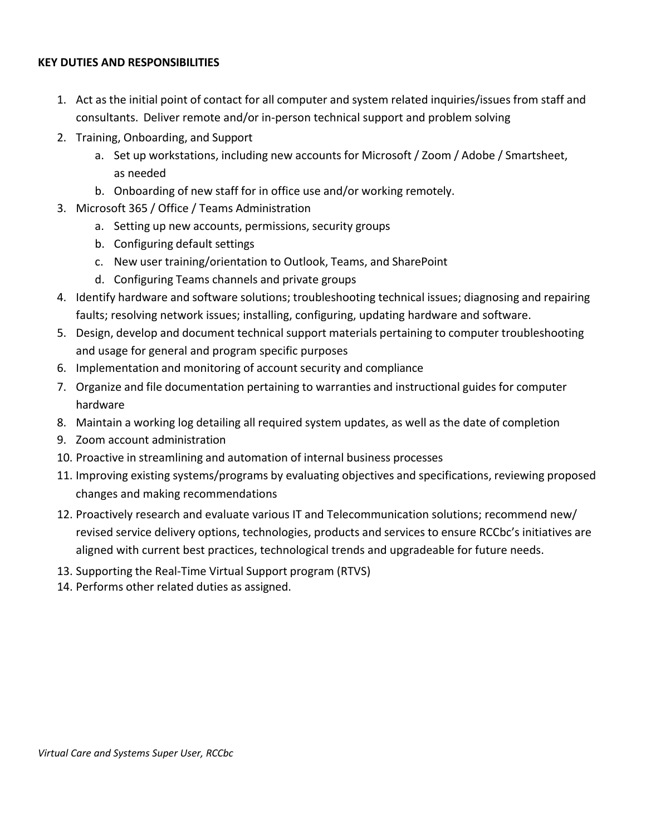### **KEY DUTIES AND RESPONSIBILITIES**

- 1. Act as the initial point of contact for all computer and system related inquiries/issues from staff and consultants. Deliver remote and/or in-person technical support and problem solving
- 2. Training, Onboarding, and Support
	- a. Set up workstations, including new accounts for Microsoft / Zoom / Adobe / Smartsheet, as needed
	- b. Onboarding of new staff for in office use and/or working remotely.
- 3. Microsoft 365 / Office / Teams Administration
	- a. Setting up new accounts, permissions, security groups
	- b. Configuring default settings
	- c. New user training/orientation to Outlook, Teams, and SharePoint
	- d. Configuring Teams channels and private groups
- 4. Identify hardware and software solutions; troubleshooting technical issues; diagnosing and repairing faults; resolving network issues; installing, configuring, updating hardware and software.
- 5. Design, develop and document technical support materials pertaining to computer troubleshooting and usage for general and program specific purposes
- 6. Implementation and monitoring of account security and compliance
- 7. Organize and file documentation pertaining to warranties and instructional guides for computer hardware
- 8. Maintain a working log detailing all required system updates, as well as the date of completion
- 9. Zoom account administration
- 10. Proactive in streamlining and automation of internal business processes
- 11. Improving existing systems/programs by evaluating objectives and specifications, reviewing proposed changes and making recommendations
- 12. Proactively research and evaluate various IT and Telecommunication solutions; recommend new/ revised service delivery options, technologies, products and services to ensure RCCbc's initiatives are aligned with current best practices, technological trends and upgradeable for future needs.
- 13. Supporting the Real-Time Virtual Support program (RTVS)
- 14. Performs other related duties as assigned.